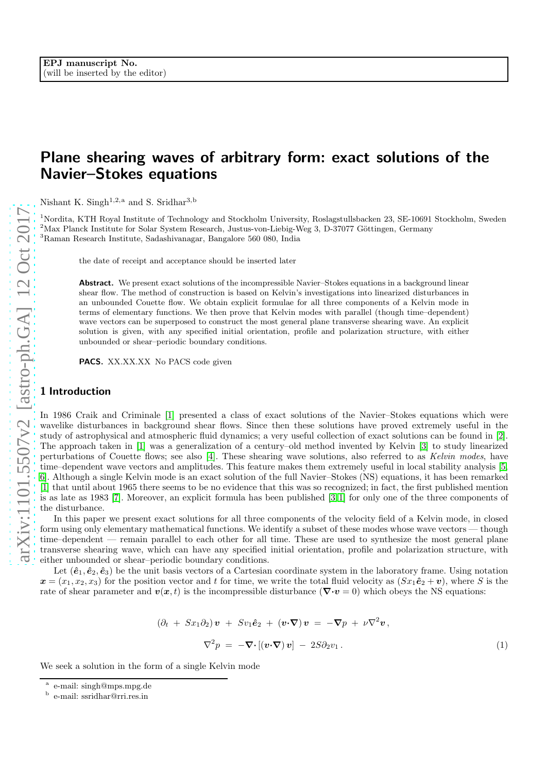## Plane shearing waves of arbitrary form: exact solutions of the Navier–Stokes equations

Nishant K. Singh<sup>1,2,a</sup> and S. Sridhar<sup>3,b</sup>

<sup>1</sup>Nordita, KTH Royal Institute of Technology and Stockholm University, Roslagstullsbacken 23, SE-10691 Stockholm, Sweden  $2$ Max Planck Institute for Solar System Research, Justus-von-Liebig-Weg 3, D-37077 Göttingen, Germany <sup>3</sup>Raman Research Institute, Sadashivanagar, Bangalore 560 080, India

the date of receipt and acceptance should be inserted later

Abstract. We present exact solutions of the incompressible Navier–Stokes equations in a background linear shear flow. The method of construction is based on Kelvin's investigations into linearized disturbances in an unbounded Couette flow. We obtain explicit formulae for all three components of a Kelvin mode in terms of elementary functions. We then prove that Kelvin modes with parallel (though time–dependent) wave vectors can be superposed to construct the most general plane transverse shearing wave. An explicit solution is given, with any specified initial orientation, profile and polarization structure, with either unbounded or shear–periodic boundary conditions.

PACS. XX.XX.XX No PACS code given

## 1 Introduction

In 1986 Craik and Criminale [\[1\]](#page-5-0) presented a class of exact solutions of the Navier–Stokes equations which were wavelike disturbances in background shear flows. Since then these solutions have proved extremely useful in the study of astrophysical and atmospheric fluid dynamics; a very useful collection of exact solutions can be found in [\[2\]](#page-5-1). The approach taken in [\[1\]](#page-5-0) was a generalization of a century–old method invented by Kelvin [\[3\]](#page-5-2) to study linearized perturbations of Couette flows; see also [\[4\]](#page-5-3). These shearing wave solutions, also referred to as Kelvin modes, have time–dependent wave vectors and amplitudes. This feature makes them extremely useful in local stability analysis [\[5,](#page-5-4) [6\]](#page-5-5). Although a single Kelvin mode is an exact solution of the full Navier–Stokes (NS) equations, it has been remarked [\[1\]](#page-5-0) that until about 1965 there seems to be no evidence that this was so recognized; in fact, the first published mention is as late as 1983 [\[7\]](#page-5-6). Moreover, an explicit formula has been published [\[3,](#page-5-2)[1\]](#page-5-0) for only one of the three components of the disturbance.

In this paper we present exact solutions for all three components of the velocity field of a Kelvin mode, in closed form using only elementary mathematical functions. We identify a subset of these modes whose wave vectors — though time–dependent — remain parallel to each other for all time. These are used to synthesize the most general plane transverse shearing wave, which can have any specified initial orientation, profile and polarization structure, with either unbounded or shear–periodic boundary conditions.

Let  $(\hat{\mathbf{e}}_1, \hat{\mathbf{e}}_2, \hat{\mathbf{e}}_3)$  be the unit basis vectors of a Cartesian coordinate system in the laboratory frame. Using notation  $x = (x_1, x_2, x_3)$  for the position vector and t for time, we write the total fluid velocity as  $(Sx_1\hat{e}_2 + v)$ , where S is the rate of shear parameter and  $v(x, t)$  is the incompressible disturbance ( $\nabla \cdot v = 0$ ) which obeys the NS equations:

<span id="page-0-0"></span>
$$
(\partial_t + Sx_1\partial_2)\mathbf{v} + Sv_1\hat{\mathbf{e}}_2 + (\mathbf{v}\cdot\nabla)\mathbf{v} = -\nabla p + \nu\nabla^2\mathbf{v},
$$
  

$$
\nabla^2 p = -\nabla\cdot[(\mathbf{v}\cdot\nabla)\mathbf{v}] - 2S\partial_2v_1.
$$
 (1)

We seek a solution in the form of a single Kelvin mode

a e-mail: singh@mps.mpg.de

b e-mail: ssridhar@rri.res.in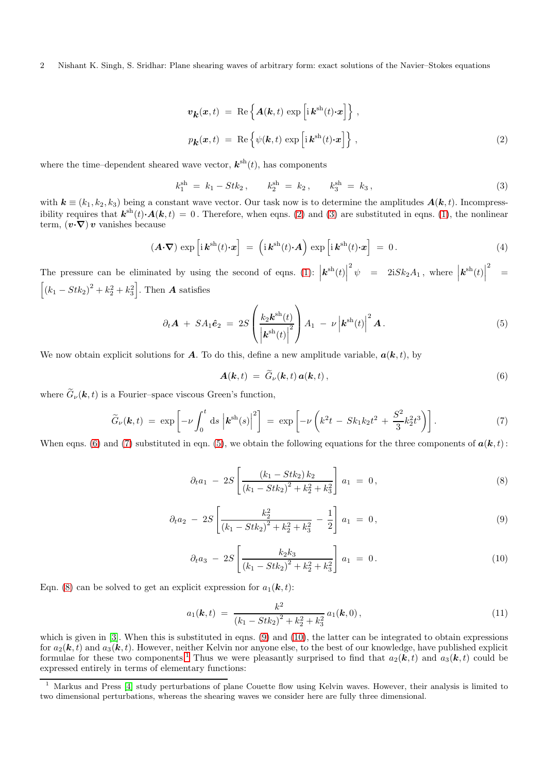2 Nishant K. Singh, S. Sridhar: Plane shearing waves of arbitrary form: exact solutions of the Navier–Stokes equations

<span id="page-1-0"></span>
$$
\mathbf{v}_{\mathbf{k}}(\mathbf{x},t) = \text{Re}\left\{\mathbf{A}(\mathbf{k},t)\exp\left[i\mathbf{k}^{\text{sh}}(t)\cdot\mathbf{x}\right]\right\},
$$

$$
p_{\mathbf{k}}(\mathbf{x},t) = \text{Re}\left\{\psi(\mathbf{k},t)\exp\left[i\mathbf{k}^{\text{sh}}(t)\cdot\mathbf{x}\right]\right\},
$$
(2)

where the time–dependent sheared wave vector,  $\mathbf{k}^{\text{sh}}(t)$ , has components

<span id="page-1-1"></span>
$$
k_1^{\rm sh} = k_1 - Stk_2, \qquad k_2^{\rm sh} = k_2, \qquad k_3^{\rm sh} = k_3,
$$
 (3)

with  $k \equiv (k_1, k_2, k_3)$  being a constant wave vector. Our task now is to determine the amplitudes  $A(k, t)$ . Incompressibility requires that  $\mathbf{k}^{\text{sh}}(t) \cdot \mathbf{A}(\mathbf{k}, t) = 0$ . Therefore, when eqns. [\(2\)](#page-1-0) and [\(3\)](#page-1-1) are substituted in eqns. [\(1\)](#page-0-0), the nonlinear term,  $(v\cdot\nabla)v$  vanishes because

$$
(\mathbf{A} \cdot \nabla) \exp \left[ i \, \mathbf{k}^{\mathrm{sh}}(t) \cdot \mathbf{x} \right] \; = \; \left( i \, \mathbf{k}^{\mathrm{sh}}(t) \cdot \mathbf{A} \right) \, \exp \left[ i \, \mathbf{k}^{\mathrm{sh}}(t) \cdot \mathbf{x} \right] \; = \; 0 \,. \tag{4}
$$

The pressure can be eliminated by using the second of eqns. [\(1\)](#page-0-0):  $\left| \mathbf{k}^{\mathrm{sh}}(t) \right|$  $\overline{2}$  $\psi$  = 2i $Sk_2A_1$ , where  $\left| \boldsymbol{k}^{\mathrm{sh}}(t) \right|$  $\overline{2}$ =  $[(k_1 - Stk_2)^2 + k_2^2 + k_3^2]$ . Then **A** satisfies

<span id="page-1-4"></span>
$$
\partial_t \mathbf{A} + SA_1 \hat{\mathbf{e}}_2 = 2S \left( \frac{k_2 \mathbf{k}^{\mathrm{sh}}(t)}{\left| \mathbf{k}^{\mathrm{sh}}(t) \right|^2} \right) A_1 - \nu \left| \mathbf{k}^{\mathrm{sh}}(t) \right|^2 \mathbf{A}.
$$
 (5)

We now obtain explicit solutions for **A**. To do this, define a new amplitude variable,  $a(k, t)$ , by

<span id="page-1-2"></span>
$$
\mathbf{A}(\mathbf{k},t) = \tilde{G}_{\nu}(\mathbf{k},t) \, \mathbf{a}(\mathbf{k},t) \,, \tag{6}
$$

where  $\widetilde{G}_{\nu}(\mathbf{k},t)$  is a Fourier–space viscous Green's function,

<span id="page-1-3"></span>
$$
\widetilde{G}_{\nu}(\mathbf{k},t) = \exp\left[-\nu \int_0^t ds \left| \mathbf{k}^{\mathrm{sh}}(s) \right|^2 \right] = \exp\left[-\nu \left(k^2 t - S k_1 k_2 t^2 + \frac{S^2}{3} k_2^2 t^3\right)\right].\tag{7}
$$

When eqns. [\(6\)](#page-1-2) and [\(7\)](#page-1-3) substituted in eqn. [\(5\)](#page-1-4), we obtain the following equations for the three components of  $a(k, t)$ :

<span id="page-1-5"></span>
$$
\partial_t a_1 - 2S \left[ \frac{(k_1 - Stk_2) k_2}{(k_1 - Stk_2)^2 + k_2^2 + k_3^2} \right] a_1 = 0, \tag{8}
$$

$$
\partial_t a_2 - 2S \left[ \frac{k_2^2}{\left(k_1 - Stk_2\right)^2 + k_2^2 + k_3^2} - \frac{1}{2} \right] a_1 = 0, \tag{9}
$$

$$
\partial_t a_3 - 2S \left[ \frac{k_2 k_3}{(k_1 - Stk_2)^2 + k_2^2 + k_3^2} \right] a_1 = 0.
$$
 (10)

Eqn. [\(8\)](#page-1-5) can be solved to get an explicit expression for  $a_1(\mathbf{k}, t)$ :

<span id="page-1-7"></span>
$$
a_1(\mathbf{k},t) = \frac{k^2}{(k_1 - Stk_2)^2 + k_2^2 + k_3^2} a_1(\mathbf{k},0), \qquad (11)
$$

which is given in [\[3\]](#page-5-2). When this is substituted in eqns. [\(9\)](#page-1-5) and [\(10\)](#page-1-5), the latter can be integrated to obtain expressions for  $a_2(\mathbf{k}, t)$  and  $a_3(\mathbf{k}, t)$ . However, neither Kelvin nor anyone else, to the best of our knowledge, have published explicit formulae for these two components.<sup>[1](#page-1-6)</sup> Thus we were pleasantly surprised to find that  $a_2(k, t)$  and  $a_3(k, t)$  could be expressed entirely in terms of elementary functions:

<span id="page-1-6"></span><sup>1</sup> Markus and Press [\[4\]](#page-5-3) study perturbations of plane Couette flow using Kelvin waves. However, their analysis is limited to two dimensional perturbations, whereas the shearing waves we consider here are fully three dimensional.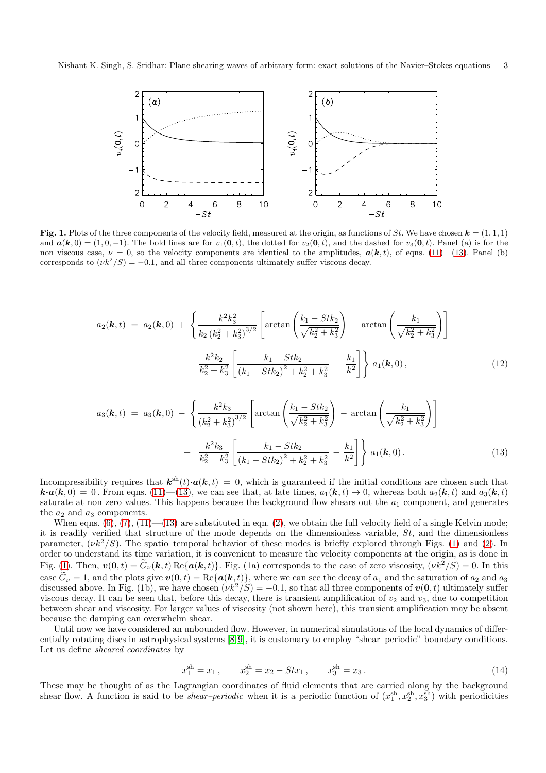

<span id="page-2-1"></span>Fig. 1. Plots of the three components of the velocity field, measured at the origin, as functions of St. We have chosen  $\mathbf{k} = (1, 1, 1)$ and  $a(k, 0) = (1, 0, -1)$ . The bold lines are for  $v_1(0, t)$ , the dotted for  $v_2(0, t)$ , and the dashed for  $v_3(0, t)$ . Panel (a) is for the non viscous case,  $\nu = 0$ , so the velocity components are identical to the amplitudes,  $a(k, t)$ , of eqns. [\(11\)](#page-1-7)–[\(13\)](#page-2-0). Panel (b) corresponds to  $(\nu k^2/S) = -0.1$ , and all three components ultimately suffer viscous decay.

<span id="page-2-0"></span>
$$
a_2(\mathbf{k},t) = a_2(\mathbf{k},0) + \left\{ \frac{k^2 k_3^2}{k_2 (k_2^2 + k_3^2)^{3/2}} \left[ \arctan\left(\frac{k_1 - Stk_2}{\sqrt{k_2^2 + k_3^2}}\right) - \arctan\left(\frac{k_1}{\sqrt{k_2^2 + k_3^2}}\right) \right] - \frac{k^2 k_2}{k_2^2 + k_3^2} \left[ \frac{k_1 - Stk_2}{(k_1 - Stk_2)^2 + k_2^2 + k_3^2} - \frac{k_1}{k^2} \right] \right\} a_1(\mathbf{k},0), \tag{12}
$$

$$
a_3(\mathbf{k},t) = a_3(\mathbf{k},0) - \left\{ \frac{k^2 k_3}{\left(k_2^2 + k_3^2\right)^{3/2}} \left[ \arctan\left(\frac{k_1 - Stk_2}{\sqrt{k_2^2 + k_3^2}}\right) - \arctan\left(\frac{k_1}{\sqrt{k_2^2 + k_3^2}}\right) \right] + \frac{k^2 k_3}{k_2^2 + k_3^2} \left[ \frac{k_1 - Stk_2}{\left(k_1 - Stk_2\right)^2 + k_2^2 + k_3^2} - \frac{k_1}{k^2} \right] \right\} a_1(\mathbf{k},0). \tag{13}
$$

Incompressibility requires that  $\mathbf{k}^{\text{sh}}(t) \cdot \mathbf{a}(\mathbf{k}, t) = 0$ , which is guaranteed if the initial conditions are chosen such that  $\mathbf{k} \cdot \mathbf{a}(\mathbf{k}, 0) = 0$ . From eqns. [\(11\)](#page-1-7)—[\(13\)](#page-2-0), we can see that, at late times,  $a_1(\mathbf{k}, t) \to 0$ , whereas both  $a_2(\mathbf{k}, t)$  and  $a_3(\mathbf{k}, t)$ saturate at non zero values. This happens because the background flow shears out the  $a_1$  component, and generates the  $a_2$  and  $a_3$  components.

When eqns.  $(6)$ ,  $(7)$ ,  $(11)$ — $(13)$  are substituted in eqn.  $(2)$ , we obtain the full velocity field of a single Kelvin mode; it is readily verified that structure of the mode depends on the dimensionless variable, St, and the dimensionless parameter,  $(\nu k^2/S)$ . The spatio–temporal behavior of these modes is briefly explored through Figs. [\(1\)](#page-2-1) and [\(2\)](#page-4-0). In order to understand its time variation, it is convenient to measure the velocity components at the origin, as is done in Fig. [\(1\)](#page-2-1). Then,  $v(0, t) = \tilde{G}_{\nu}(k, t) \text{Re}\{a(k, t)\}\$ . Fig. (1a) corresponds to the case of zero viscosity,  $(\nu k^2/S) = 0$ . In this case  $\tilde{G}_{\nu} = 1$ , and the plots give  $v(0, t) = \text{Re}\{a(k, t)\}\,$ , where we can see the decay of  $a_1$  and the saturation of  $a_2$  and  $a_3$ discussed above. In Fig. (1b), we have chosen  $(\nu k^2/S) = -0.1$ , so that all three components of  $v(0, t)$  ultimately suffer viscous decay. It can be seen that, before this decay, there is transient amplification of  $v_2$  and  $v_3$ , due to competition between shear and viscosity. For larger values of viscosity (not shown here), this transient amplification may be absent because the damping can overwhelm shear.

Until now we have considered an unbounded flow. However, in numerical simulations of the local dynamics of differentially rotating discs in astrophysical systems [\[8,](#page-5-7)[9\]](#page-5-8), it is customary to employ "shear–periodic" boundary conditions. Let us define sheared coordinates by

$$
x_1^{\text{sh}} = x_1 , \qquad x_2^{\text{sh}} = x_2 - Stx_1 , \qquad x_3^{\text{sh}} = x_3 . \tag{14}
$$

These may be thought of as the Lagrangian coordinates of fluid elements that are carried along by the background shear flow. A function is said to be *shear-periodic* when it is a periodic function of  $(x_1^{\text{sh}}, x_2^{\text{sh}}, x_3^{\text{sh}})$  with periodicities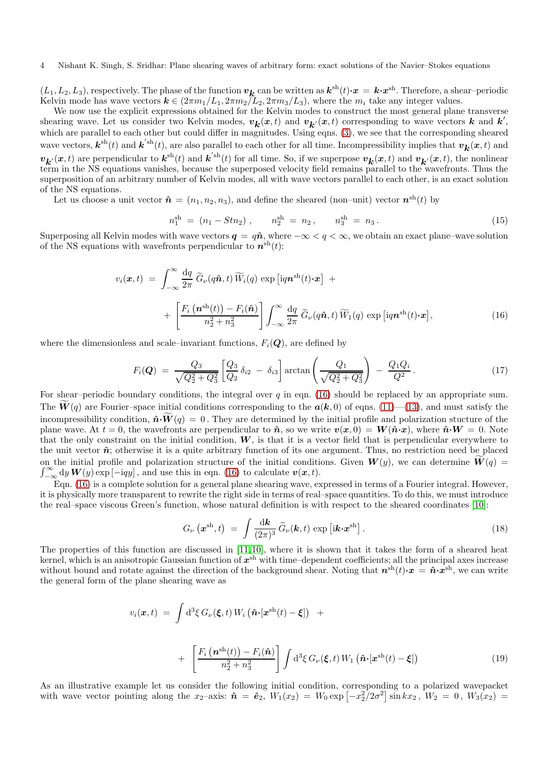## 4 Nishant K. Singh, S. Sridhar: Plane shearing waves of arbitrary form: exact solutions of the Navier–Stokes equations

 $(L_1, L_2, L_3)$ , respectively. The phase of the function  $v_k$  can be written as  $k^{\text{sh}}(t) \cdot x = k \cdot x^{\text{sh}}$ . Therefore, a shear-periodic Kelvin mode has wave vectors  $k \in (2\pi m_1/L_1, 2\pi m_2/L_2, 2\pi m_3/L_3)$ , where the  $m_i$  take any integer values.

We now use the explicit expressions obtained for the Kelvin modes to construct the most general plane transverse shearing wave. Let us consider two Kelvin modes,  $v_k(x,t)$  and  $v_{k'}(x,t)$  corresponding to wave vectors k and k', which are parallel to each other but could differ in magnitudes. Using eqns. [\(3\)](#page-1-1), we see that the corresponding sheared wave vectors,  $\mathbf{k}^{\text{sh}}(t)$  and  $\mathbf{k}^{'\text{sh}}(t)$ , are also parallel to each other for all time. Incompressibility implies that  $v_{\mathbf{k}}(x, t)$  and  $v_{\mathbf{k}}(x,t)$  are perpendicular to  $\mathbf{k}^{\text{sh}}(t)$  and  $\mathbf{k}^{'\text{sh}}(t)$  for all time. So, if we superpose  $v_{\mathbf{k}}(x,t)$  and  $v_{\mathbf{k}'}(x,t)$ , the nonlinear term in the NS equations vanishes, because the superposed velocity field remains parallel to the wavefronts. Thus the superposition of an arbitrary number of Kelvin modes, all with wave vectors parallel to each other, is an exact solution of the NS equations.

Let us choose a unit vector  $\hat{\boldsymbol{n}} = (n_1, n_2, n_3)$ , and define the sheared (non-unit) vector  $\boldsymbol{n}^{\text{sh}}(t)$  by

$$
n_1^{\rm sh} = (n_1 - Stn_2) , \qquad n_2^{\rm sh} = n_2 , \qquad n_3^{\rm sh} = n_3 . \tag{15}
$$

Superposing all Kelvin modes with wave vectors  $q = q\hat{n}$ , where  $-\infty < q < \infty$ , we obtain an exact plane–wave solution of the NS equations with wavefronts perpendicular to  $\mathbf{n}^{\text{sh}}(t)$ :

<span id="page-3-0"></span>
$$
v_i(\boldsymbol{x},t) = \int_{-\infty}^{\infty} \frac{dq}{2\pi} \widetilde{G}_{\nu}(q\hat{\boldsymbol{n}},t) \widetilde{W}_i(q) \exp\left[iq\boldsymbol{n}^{\mathrm{sh}}(t)\cdot\boldsymbol{x}\right] + \left[\frac{F_i\left(\boldsymbol{n}^{\mathrm{sh}}(t)\right) - F_i(\hat{\boldsymbol{n}})}{n_2^2 + n_3^2}\right] \int_{-\infty}^{\infty} \frac{dq}{2\pi} \widetilde{G}_{\nu}(q\hat{\boldsymbol{n}},t) \widetilde{W}_1(q) \exp\left[iq\boldsymbol{n}^{\mathrm{sh}}(t)\cdot\boldsymbol{x}\right],
$$
\n(16)

where the dimensionless and scale–invariant functions,  $F_i(\mathbf{Q})$ , are defined by

$$
F_i(\mathbf{Q}) = \frac{Q_3}{\sqrt{Q_2^2 + Q_3^2}} \left[ \frac{Q_3}{Q_2} \delta_{i2} - \delta_{i3} \right] \arctan\left(\frac{Q_1}{\sqrt{Q_2^2 + Q_3^2}}\right) - \frac{Q_1 Q_i}{Q^2}.
$$
 (17)

For shear–periodic boundary conditions, the integral over q in eqn. [\(16\)](#page-3-0) should be replaced by an appropriate sum. The  $\mathbf{W}(q)$  are Fourier–space initial conditions corresponding to the  $\mathbf{a}(\mathbf{k},0)$  of eqns. [\(11\)](#page-1-7)—[\(13\)](#page-2-0), and must satisfy the incompressibility condition,  $\hat{\mathbf{n}}\cdot \widetilde{\mathbf{W}}(q) = 0$ . They are determined by the initial profile and polarization stucture of the plane wave. At  $t = 0$ , the wavefronts are perpendicular to  $\hat{\boldsymbol{n}}$ , so we write  $v(\boldsymbol{x}, 0) = \boldsymbol{W}(\hat{\boldsymbol{n}} \cdot \boldsymbol{x})$ , where  $\hat{\boldsymbol{n}} \cdot \boldsymbol{W} = 0$ . Note that the only constraint on the initial condition,  $W$ , is that it is a vector field that is perpendicular everywhere to the unit vector  $\hat{n}$ ; otherwise it is a quite arbitrary function of its one argument. Thus, no restriction need be placed  $\int_{-\infty}^{\infty} dy W(y) \exp[-i q y]$ , and use this in eqn. [\(16\)](#page-3-0) to calculate  $v(x, t)$ . on the initial profile and polarization structure of the initial conditions. Given  $W(y)$ , we can determine  $\tilde{W}(q)$  =

Eqn. [\(16\)](#page-3-0) is a complete solution for a general plane shearing wave, expressed in terms of a Fourier integral. However, it is physically more transparent to rewrite the right side in terms of real–space quantities. To do this, we must introduce the real–space viscous Green's function, whose natural definition is with respect to the sheared coordinates [\[10\]](#page-5-9):

$$
G_{\nu}\left(\boldsymbol{x}^{\mathrm{sh}},t\right) \;=\; \int \frac{\mathrm{d}\boldsymbol{k}}{(2\pi)^3}\,\widetilde{G}_{\nu}(\boldsymbol{k},t)\,\exp\left[i\boldsymbol{k}\!\cdot\!\boldsymbol{x}^{\mathrm{sh}}\right].\tag{18}
$$

The properties of this function are discussed in [\[11,](#page-5-10)[10\]](#page-5-9), where it is shown that it takes the form of a sheared heat kernel, which is an anisotropic Gaussian function of  $x^{\text{sh}}$  with time–dependent coefficients; all the principal axes increase without bound and rotate against the direction of the background shear. Noting that  $n^{\text{sh}}(t) \cdot x = \hat{n} \cdot x^{\text{sh}}$ , we can write the general form of the plane shearing wave as

<span id="page-3-1"></span>
$$
v_i(\boldsymbol{x},t) = \int d^3\xi \, G_{\nu}(\boldsymbol{\xi},t) \, W_i \left( \hat{\boldsymbol{n}} \cdot [\boldsymbol{x}^{\rm sh}(t) - \boldsymbol{\xi}] \right) \quad +
$$

$$
+ \left[ \frac{F_i \left( \boldsymbol{n}^{\rm sh}(t) \right) - F_i(\hat{\boldsymbol{n}})}{n_2^2 + n_3^2} \right] \int d^3\xi \, G_{\nu}(\boldsymbol{\xi},t) \, W_1 \left( \hat{\boldsymbol{n}} \cdot [\boldsymbol{x}^{\rm sh}(t) - \boldsymbol{\xi}] \right) \tag{19}
$$

As an illustrative example let us consider the following initial condition, corresponding to a polarized wavepacket with wave vector pointing along the  $x_2$ -axis:  $\hat{\boldsymbol{n}} = \hat{\boldsymbol{e}}_2$ ,  $W_1(x_2) = W_0 \exp[-x_2^2/2\sigma^2] \sin kx_2$ ,  $W_2 = 0$ ,  $W_3(x_2) =$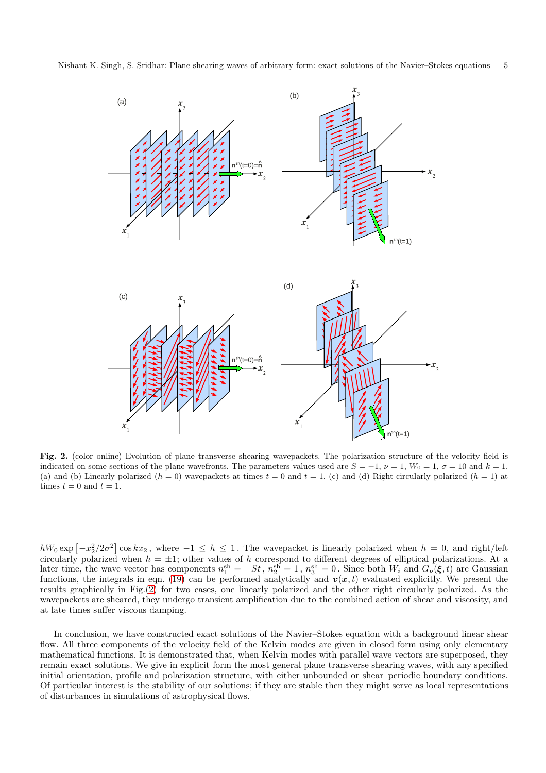

<span id="page-4-0"></span>Fig. 2. (color online) Evolution of plane transverse shearing wavepackets. The polarization structure of the velocity field is indicated on some sections of the plane wavefronts. The parameters values used are  $S = -1$ ,  $\nu = 1$ ,  $W_0 = 1$ ,  $\sigma = 10$  and  $k = 1$ . (a) and (b) Linearly polarized  $(h = 0)$  wavepackets at times  $t = 0$  and  $t = 1$ . (c) and (d) Right circularly polarized  $(h = 1)$  at times  $t = 0$  and  $t = 1$ .

 $hW_0 \exp[-x_2^2/2\sigma^2] \cos kx_2$ , where  $-1 \leq h \leq 1$ . The wavepacket is linearly polarized when  $h = 0$ , and right/left circularly polarized when  $h = \pm 1$ ; other values of h correspond to different degrees of elliptical polarizations. At a later time, the wave vector has components  $n_1^{\text{sh}} = -St$ ,  $n_2^{\text{sh}} = 1$ ,  $n_3^{\text{sh}} = 0$ . Since both  $W_i$  and  $G_{\nu}(\xi, t)$  are Gaussian functions, the integrals in eqn. [\(19\)](#page-3-1) can be performed analytically and  $v(x, t)$  evaluated explicitly. We present the results graphically in Fig.[\(2\)](#page-4-0) for two cases, one linearly polarized and the other right circularly polarized. As the wavepackets are sheared, they undergo transient amplification due to the combined action of shear and viscosity, and at late times suffer viscous damping.

In conclusion, we have constructed exact solutions of the Navier–Stokes equation with a background linear shear flow. All three components of the velocity field of the Kelvin modes are given in closed form using only elementary mathematical functions. It is demonstrated that, when Kelvin modes with parallel wave vectors are superposed, they remain exact solutions. We give in explicit form the most general plane transverse shearing waves, with any specified initial orientation, profile and polarization structure, with either unbounded or shear–periodic boundary conditions. Of particular interest is the stability of our solutions; if they are stable then they might serve as local representations of disturbances in simulations of astrophysical flows.